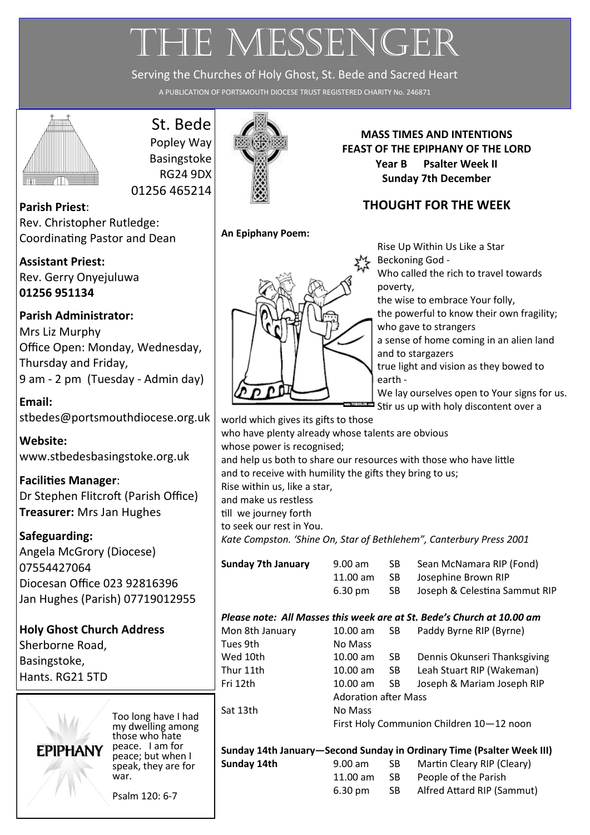# THE MESSENGER

Serving the Churches of Holy Ghost, St. Bede and Sacred Heart

A PUBLICATION OF PORTSMOUTH DIOCESE TRUST REGISTERED CHARITY No. 246871



# St. Bede

Popley Way Basingstoke RG24 9DX 01256 465214

**Parish Priest**: Rev. Christopher Rutledge: Coordinating Pastor and Dean

**Assistant Priest:** Rev. Gerry Onyejuluwa **01256 951134**

## **Parish Administrator:**

Mrs Liz Murphy Office Open: Monday, Wednesday, Thursday and Friday, 9 am - 2 pm (Tuesday - Admin day)

**Email:**  [stbedes@portsmouthdiocese.org.uk](mailto:stbedes@portsmouthdiocese.org.uk)

**Website:**  [www.stbedesbasingstoke.org.uk](http://www.stbedesbasingstoke.org.uk)

**Facilities Manager**: Dr Stephen Flitcroft (Parish Office) **Treasurer:** Mrs Jan Hughes

## **Safeguarding:**

Angela McGrory (Diocese) 07554427064 Diocesan Office 023 92816396 Jan Hughes (Parish) 07719012955

# **Holy Ghost Church Address**

Sherborne Road, Basingstoke, Hants. RG21 5TD



Too long have I had my dwelling among those who hate peace. I am for peace; but when I speak, they are for war.

Psalm 120: 6-7



**MASS TIMES AND INTENTIONS FEAST OF THE EPIPHANY OF THE LORD Year B Psalter Week II Sunday 7th December**

## **THOUGHT FOR THE WEEK**

**An Epiphany Poem:**



Rise Up Within Us Like a Star Beckoning God - Who called the rich to travel towards poverty, the wise to embrace Your folly, the powerful to know their own fragility; who gave to strangers a sense of home coming in an alien land and to stargazers true light and vision as they bowed to earth - We lay ourselves open to Your signs for us. Stir us up with holy discontent over a

world which gives its gifts to those who have plenty already whose talents are obvious whose power is recognised; and help us both to share our resources with those who have little and to receive with humility the gifts they bring to us; Rise within us, like a star, and make us restless till we journey forth to seek our rest in You. *Kate Compston. 'Shine On, Star of Bethlehem", Canterbury Press 2001*

**Sunday 7th January** 9.00 am SB Sean McNamara RIP (Fond) 11.00 am SB Josephine Brown RIP 6.30 pm SB Joseph & Celestina Sammut RIP

### *Please note: All Masses this week are at St. Bede's Church at 10.00 am*

Mon 8th January Tues 9th Wed 10th Thur 11th Sat 13th

| Mon 8th January | $10.00$ am                               | -SB | Paddy Byrne RIP (Byrne)      |
|-----------------|------------------------------------------|-----|------------------------------|
| Tues 9th        | No Mass                                  |     |                              |
| Wed 10th        | $10.00$ am                               | SB. | Dennis Okunseri Thanksgiving |
| Thur 11th       | $10.00$ am                               | SB. | Leah Stuart RIP (Wakeman)    |
| Fri 12th        | $10.00$ am                               | -SB | Joseph & Mariam Joseph RIP   |
|                 | <b>Adoration after Mass</b>              |     |                              |
| Sat 13th        | No Mass                                  |     |                              |
|                 | First Holy Communion Children 10-12 noon |     |                              |

**Sunday 14th January—Second Sunday in Ordinary Time (Psalter Week III) Sunday 14th** 9.00 am SB Martin Cleary RIP (Cleary) 11.00 am SB People of the Parish 6.30 pm SB Alfred Attard RIP (Sammut)